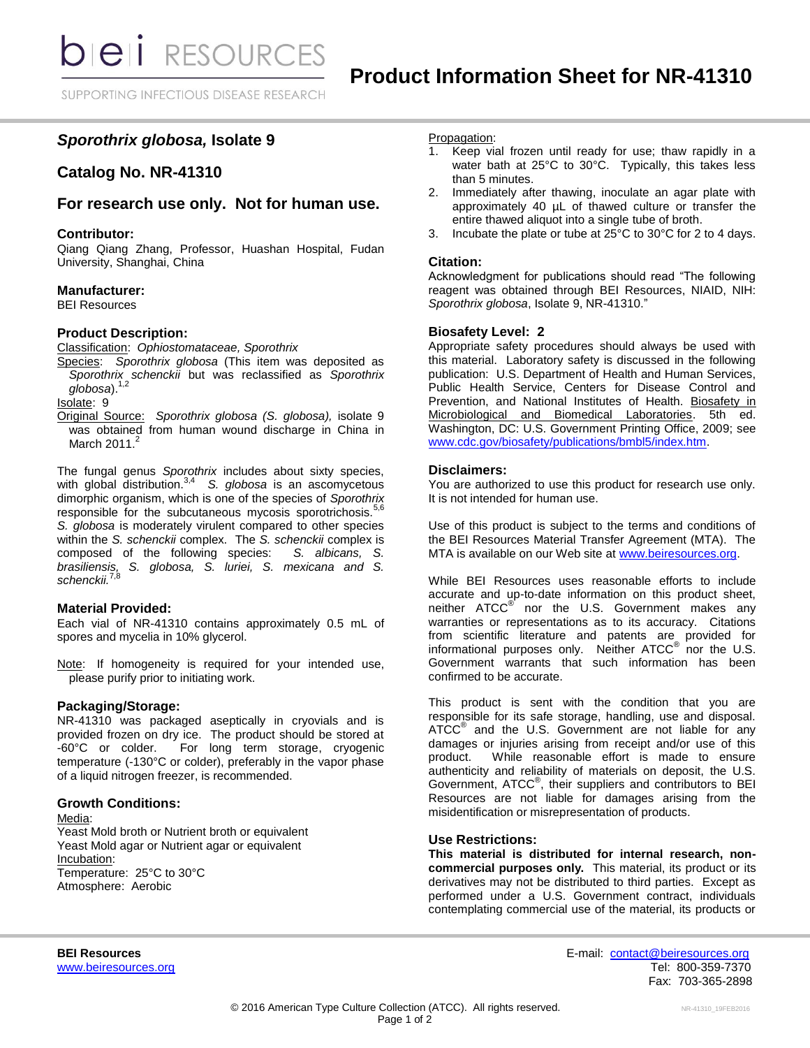# *Sporothrix globosa,* **Isolate 9**

## **Catalog No. NR-41310**

### **For research use only. Not for human use.**

#### **Contributor:**

Qiang Qiang Zhang, Professor, Huashan Hospital, Fudan University, Shanghai, China

#### **Manufacturer:**

BEI Resources

#### **Product Description:**

Classification: *Ophiostomataceae, Sporothrix*

Species: *Sporothrix globosa* (This item was deposited as *Sporothrix schenckii* but was reclassified as *Sporothrix globosa*). 1,2

Isolate: 9

Original Source: *Sporothrix globosa (S. globosa),* isolate 9 was obtained from human wound discharge in China in March 2011.<sup>2</sup>

The fungal genus *Sporothrix* includes about sixty species, with global distribution.3,4 *S. globosa* is an ascomycetous dimorphic organism, which is one of the species of *Sporothrix* responsible for the subcutaneous mycosis sporotrichosis.<sup>5,6</sup> *S. globosa* is moderately virulent compared to other species within the *S. schenckii* complex. The *S. schenckii* complex is composed of the following species: *S. albicans*, *S.* composed of the following species: *brasiliensis, S. globosa, S. luriei, S. mexicana and S. schenckii.*7,8

#### **Material Provided:**

Each vial of NR-41310 contains approximately 0.5 mL of spores and mycelia in 10% glycerol.

Note: If homogeneity is required for your intended use, please purify prior to initiating work.

### **Packaging/Storage:**

NR-41310 was packaged aseptically in cryovials and is provided frozen on dry ice. The product should be stored at -60°C or colder. For long term storage, cryogenic temperature (-130°C or colder), preferably in the vapor phase of a liquid nitrogen freezer, is recommended.

#### **Growth Conditions:**

Media:

Yeast Mold broth or Nutrient broth or equivalent Yeast Mold agar or Nutrient agar or equivalent Incubation: Temperature: 25°C to 30°C Atmosphere: Aerobic

#### Propagation:

- 1. Keep vial frozen until ready for use; thaw rapidly in a water bath at 25°C to 30°C. Typically, this takes less than 5 minutes.
- 2. Immediately after thawing, inoculate an agar plate with approximately 40 uL of thawed culture or transfer the entire thawed aliquot into a single tube of broth.
- Incubate the plate or tube at 25°C to 30°C for 2 to 4 days.

#### **Citation:**

Acknowledgment for publications should read "The following reagent was obtained through BEI Resources, NIAID, NIH: *Sporothrix globosa*, Isolate 9, NR-41310."

#### **Biosafety Level: 2**

Appropriate safety procedures should always be used with this material. Laboratory safety is discussed in the following publication: U.S. Department of Health and Human Services, Public Health Service, Centers for Disease Control and Prevention, and National Institutes of Health. Biosafety in Microbiological and Biomedical Laboratories. 5th ed. Washington, DC: U.S. Government Printing Office, 2009; see [www.cdc.gov/biosafety/publications/bmbl5/index.htm.](http://www.cdc.gov/biosafety/publications/bmbl5/index.htm)

#### **Disclaimers:**

You are authorized to use this product for research use only. It is not intended for human use.

Use of this product is subject to the terms and conditions of the BEI Resources Material Transfer Agreement (MTA). The MTA is available on our Web site at [www.beiresources.org.](http://www.beiresources.org/)

While BEI Resources uses reasonable efforts to include accurate and up-to-date information on this product sheet, neither ATCC<sup>®</sup> nor the U.S. Government makes any warranties or representations as to its accuracy. Citations from scientific literature and patents are provided for informational purposes only. Neither  $\tt ATCC^@$  nor the U.S. Government warrants that such information has been confirmed to be accurate.

This product is sent with the condition that you are responsible for its safe storage, handling, use and disposal. ATCC<sup>®</sup> and the U.S. Government are not liable for any damages or injuries arising from receipt and/or use of this product. While reasonable effort is made to ensure authenticity and reliability of materials on deposit, the U.S. Government, ATCC<sup>®</sup>, their suppliers and contributors to BEI Resources are not liable for damages arising from the misidentification or misrepresentation of products.

#### **Use Restrictions:**

**This material is distributed for internal research, noncommercial purposes only.** This material, its product or its derivatives may not be distributed to third parties. Except as performed under a U.S. Government contract, individuals contemplating commercial use of the material, its products or

**BEI Resources** E-mail: [contact@beiresources.org](mailto:contact@beiresources.org) [www.beiresources.org](http://www.beiresources.org/) **Tel: 800-359-7370** Fax: 703-365-2898